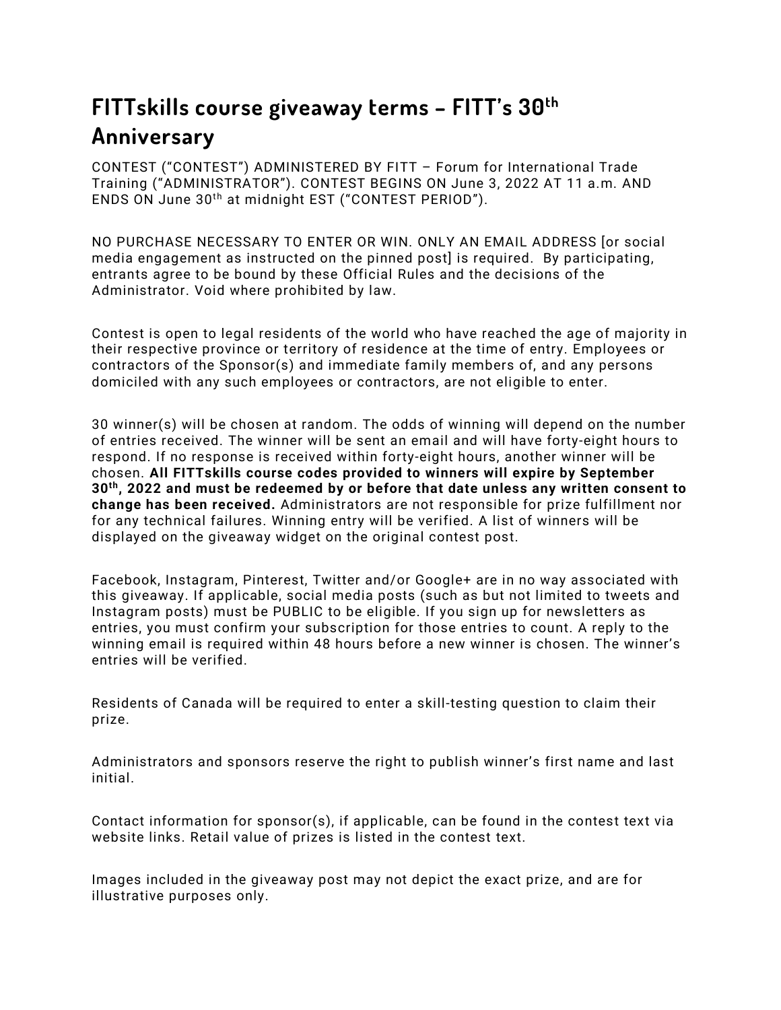## **FITTskills course giveaway terms – FITT's 30th Anniversary**

CONTEST ("CONTEST") ADMINISTERED BY FITT – Forum for International Trade Training ("ADMINISTRATOR"). CONTEST BEGINS ON June 3, 2022 AT 11 a.m. AND ENDS ON June 30th at midnight EST ("CONTEST PERIOD").

NO PURCHASE NECESSARY TO ENTER OR WIN. ONLY AN EMAIL ADDRESS [or social media engagement as instructed on the pinned post] is required. By participating, entrants agree to be bound by these Official Rules and the decisions of the Administrator. Void where prohibited by law.

Contest is open to legal residents of the world who have reached the age of majority in their respective province or territory of residence at the time of entry. Employees or contractors of the Sponsor(s) and immediate family members of, and any persons domiciled with any such employees or contractors, are not eligible to enter.

30 winner(s) will be chosen at random. The odds of winning will depend on the number of entries received. The winner will be sent an email and will have forty-eight hours to respond. If no response is received within forty-eight hours, another winner will be chosen. **All FITTskills course codes provided to winners will expire by September 30th, 2022 and must be redeemed by or before that date unless any written consent to change has been received.** Administrators are not responsible for prize fulfillment nor for any technical failures. Winning entry will be verified. A list of winners will be displayed on the giveaway widget on the original contest post.

Facebook, Instagram, Pinterest, Twitter and/or Google+ are in no way associated with this giveaway. If applicable, social media posts (such as but not limited to tweets and Instagram posts) must be PUBLIC to be eligible. If you sign up for newsletters as entries, you must confirm your subscription for those entries to count. A reply to the winning email is required within 48 hours before a new winner is chosen. The winner's entries will be verified.

Residents of Canada will be required to enter a skill-testing question to claim their prize.

Administrators and sponsors reserve the right to publish winner's first name and last initial.

Contact information for sponsor(s), if applicable, can be found in the contest text via website links. Retail value of prizes is listed in the contest text.

Images included in the giveaway post may not depict the exact prize, and are for illustrative purposes only.